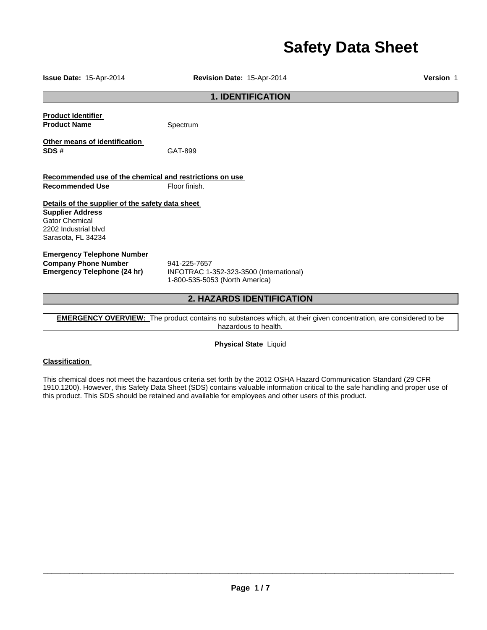# **Safety Data Sheet**

**Issue Date:** 15-Apr-2014 **Revision Date:** 15-Apr-2014 **Version** 1 **1. IDENTIFICATION Product Identifier Product Name** Spectrum **Other means of identification SDS #** GAT-899 **Recommended use of the chemical and restrictions on use Recommended Use Floor finish. Details of the supplier of the safety data sheet Supplier Address** Gator Chemical 2202 Industrial blvd Sarasota, FL 34234 **Emergency Telephone Number Company Phone Number** 941-225-7657<br>**Emergency Telephone (24 hr)** INFOTRAC 1-**Emergency Telephone (24 hr)** INFOTRAC 1-352-323-3500 (International) 1-800-535-5053 (North America) **2. HAZARDS IDENTIFICATION** 

**EMERGENCY OVERVIEW:** The product contains no substances which, at their given concentration, are considered to be hazardous to health.

**Physical State** Liquid

## **Classification**

This chemical does not meet the hazardous criteria set forth by the 2012 OSHA Hazard Communication Standard (29 CFR 1910.1200). However, this Safety Data Sheet (SDS) contains valuable information critical to the safe handling and proper use of this product. This SDS should be retained and available for employees and other users of this product.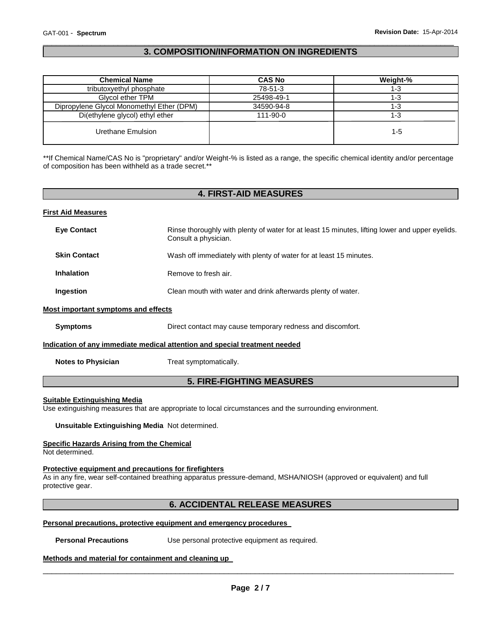## \_\_\_\_\_\_\_\_\_\_\_\_\_\_\_\_\_\_\_\_\_\_\_\_\_\_\_\_\_\_\_\_\_\_\_\_\_\_\_\_\_\_\_\_\_\_\_\_\_\_\_\_\_\_\_\_\_\_\_\_\_\_\_\_\_\_\_\_\_\_\_\_\_\_\_\_\_\_\_\_\_\_\_\_\_\_\_\_\_\_\_\_\_ **3. COMPOSITION/INFORMATION ON INGREDIENTS**

| <b>Chemical Name</b>                      | <b>CAS No</b>  | Weight-% |
|-------------------------------------------|----------------|----------|
| tributoxyethyl phosphate                  | 78-51-3        | 1-3      |
| Glycol ether TPM                          | 25498-49-1     | 1-3      |
| Dipropylene Glycol Monomethyl Ether (DPM) | 34590-94-8     | 1-3      |
| Di(ethylene glycol) ethyl ether           | $111 - 90 - 0$ | 1-3      |
| Urethane Emulsion                         |                | 1-5      |

\*\*If Chemical Name/CAS No is "proprietary" and/or Weight-% is listed as a range, the specific chemical identity and/or percentage of composition has been withheld as a trade secret.\*\*

## **4. FIRST-AID MEASURES**

#### **First Aid Measures**

| <b>Eye Contact</b>                  | Rinse thoroughly with plenty of water for at least 15 minutes, lifting lower and upper eyelids.<br>Consult a physician. |
|-------------------------------------|-------------------------------------------------------------------------------------------------------------------------|
| <b>Skin Contact</b>                 | Wash off immediately with plenty of water for at least 15 minutes.                                                      |
| <b>Inhalation</b>                   | Remove to fresh air.                                                                                                    |
| Ingestion                           | Clean mouth with water and drink afterwards plenty of water.                                                            |
| Most important symptoms and effects |                                                                                                                         |
| <b>Symptoms</b>                     | Direct contact may cause temporary redness and discomfort.                                                              |
|                                     | Indication of any immediate medical attention and special treatment needed                                              |
| <b>Notes to Physician</b>           | Treat symptomatically.                                                                                                  |

# **5. FIRE-FIGHTING MEASURES**

#### **Suitable Extinguishing Media**

Use extinguishing measures that are appropriate to local circumstances and the surrounding environment.

**Unsuitable Extinguishing Media** Not determined.

## **Specific Hazards Arising from the Chemical**

Not determined.

## **Protective equipment and precautions for firefighters**

As in any fire, wear self-contained breathing apparatus pressure-demand, MSHA/NIOSH (approved or equivalent) and full protective gear.

## **6. ACCIDENTAL RELEASE MEASURES**

#### **Personal precautions, protective equipment and emergency procedures**

**Personal Precautions Use personal protective equipment as required.** 

#### **Methods and material for containment and cleaning up**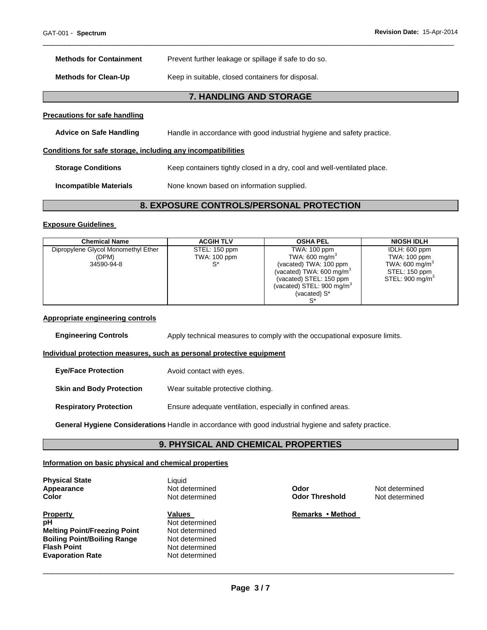| <b>Methods for Containment</b>                               | Prevent further leakage or spillage if safe to do so.                    |
|--------------------------------------------------------------|--------------------------------------------------------------------------|
| <b>Methods for Clean-Up</b>                                  | Keep in suitable, closed containers for disposal.                        |
|                                                              | 7. HANDLING AND STORAGE                                                  |
| Precautions for safe handling                                |                                                                          |
| <b>Advice on Safe Handling</b>                               | Handle in accordance with good industrial hygiene and safety practice.   |
| Conditions for safe storage, including any incompatibilities |                                                                          |
| <b>Storage Conditions</b>                                    | Keep containers tightly closed in a dry, cool and well-ventilated place. |
| <b>Incompatible Materials</b>                                | None known based on information supplied.                                |
|                                                              |                                                                          |

## **8. EXPOSURE CONTROLS/PERSONAL PROTECTION**

\_\_\_\_\_\_\_\_\_\_\_\_\_\_\_\_\_\_\_\_\_\_\_\_\_\_\_\_\_\_\_\_\_\_\_\_\_\_\_\_\_\_\_\_\_\_\_\_\_\_\_\_\_\_\_\_\_\_\_\_\_\_\_\_\_\_\_\_\_\_\_\_\_\_\_\_\_\_\_\_\_\_\_\_\_\_\_\_\_\_\_\_\_

#### **Exposure Guidelines**

| <b>Chemical Name</b>                | <b>ACGIH TLV</b> | <b>OSHA PEL</b>                      | <b>NIOSH IDLH</b>           |
|-------------------------------------|------------------|--------------------------------------|-----------------------------|
| Dipropylene Glycol Monomethyl Ether | STEL: 150 ppm    | TWA: 100 ppm                         | IDLH: 600 ppm               |
| (DPM)                               | TWA: 100 ppm     | TWA: 600 mg/m $^{\circ}$             | TWA: 100 ppm                |
| 34590-94-8                          |                  | (vacated) TWA: 100 ppm               | TWA: 600 mg/m <sup>3</sup>  |
|                                     |                  | (vacated) TWA: 600 mg/m <sup>3</sup> | STEL: 150 ppm               |
|                                     |                  | (vacated) STEL: 150 ppm              | STEL: 900 mg/m <sup>3</sup> |
|                                     |                  | (vacated) STEL: 900 mg/m $3$         |                             |
|                                     |                  | (vacated) S*                         |                             |
|                                     |                  |                                      |                             |

#### **Appropriate engineering controls**

**Engineering Controls** Apply technical measures to comply with the occupational exposure limits.

## **Individual protection measures, such as personal protective equipment**

| <b>Eye/Face Protection</b>      | Avoid contact with eyes.                                   |
|---------------------------------|------------------------------------------------------------|
| <b>Skin and Body Protection</b> | Wear suitable protective clothing.                         |
| <b>Respiratory Protection</b>   | Ensure adequate ventilation, especially in confined areas. |

**General Hygiene Considerations** Handle in accordance with good industrial hygiene and safety practice.

## **9. PHYSICAL AND CHEMICAL PROPERTIES**

#### **Information on basic physical and chemical properties**

**Physical State Contract Exercise State Contract Exercise State Liquid Appearance** 

**Property Construction Values Construction Values Remarks • Method pH** Not determined **Melting Point/Freezing Point Weltermined Boiling Point/Boiling Range 19th Control Range Point Point Point Report Report Report Point Report Report Report Point Report Report Point Report Report Report Report Report Report Report Report Report Report Report Repor Evaporation Rate** 

**Not determined**<br>Not determined

**Appearance Not determined Odor Metallistic Metallistic Metallistic Metallistic Metallistic Color <b>Color Color Not determined Color Color Not determined Color Not determined Color Not determined Col Odor Threshold**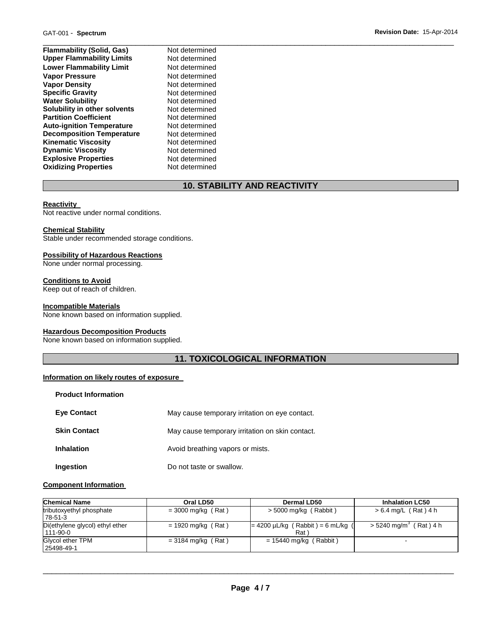| <b>Flammability (Solid, Gas)</b> | Not determined |
|----------------------------------|----------------|
| <b>Upper Flammability Limits</b> | Not determined |
| <b>Lower Flammability Limit</b>  | Not determined |
| <b>Vapor Pressure</b>            | Not determined |
| <b>Vapor Density</b>             | Not determined |
| <b>Specific Gravity</b>          | Not determined |
| <b>Water Solubility</b>          | Not determined |
| Solubility in other solvents     | Not determined |
| <b>Partition Coefficient</b>     | Not determined |
| <b>Auto-ignition Temperature</b> | Not determined |
| <b>Decomposition Temperature</b> | Not determined |
| <b>Kinematic Viscosity</b>       | Not determined |
| <b>Dynamic Viscosity</b>         | Not determined |
| <b>Explosive Properties</b>      | Not determined |
| <b>Oxidizing Properties</b>      | Not determined |

# **10. STABILITY AND REACTIVITY**

#### **Reactivity**

Not reactive under normal conditions.

#### **Chemical Stability**

Stable under recommended storage conditions.

#### **Possibility of Hazardous Reactions**

None under normal processing.

#### **Conditions to Avoid**

Keep out of reach of children.

#### **Incompatible Materials**

None known based on information supplied.

## **Hazardous Decomposition Products**

None known based on information supplied.

# **11. TOXICOLOGICAL INFORMATION**

#### **Information on likely routes of exposure**

| <b>Product Information</b> |                                                 |
|----------------------------|-------------------------------------------------|
| <b>Eve Contact</b>         | May cause temporary irritation on eye contact.  |
| <b>Skin Contact</b>        | May cause temporary irritation on skin contact. |
| <b>Inhalation</b>          | Avoid breathing vapors or mists.                |
| Ingestion                  | Do not taste or swallow.                        |

#### **Component Information**

| <b>Chemical Name</b>                              | Oral LD50            | <b>Dermal LD50</b>                                         | <b>Inhalation LC50</b>               |
|---------------------------------------------------|----------------------|------------------------------------------------------------|--------------------------------------|
| tributoxyethyl phosphate<br>78-51-3               | $=$ 3000 mg/kg (Rat) | $>$ 5000 mg/kg (Rabbit)                                    | $> 6.4$ mg/L (Rat) 4 h               |
| Di(ethylene glycol) ethyl ether<br>$111 - 90 - 0$ | $= 1920$ mg/kg (Rat) | $= 4200 \mu L/kg$ (Rabbit) = 6 mL/kg (<br>Rat <sup>'</sup> | $>$ 5240 mg/m <sup>3</sup> (Rat) 4 h |
| Glycol ether TPM<br>25498-49-1                    | $=$ 3184 mg/kg (Rat) | $= 15440$ mg/kg (Rabbit)                                   | $\sim$                               |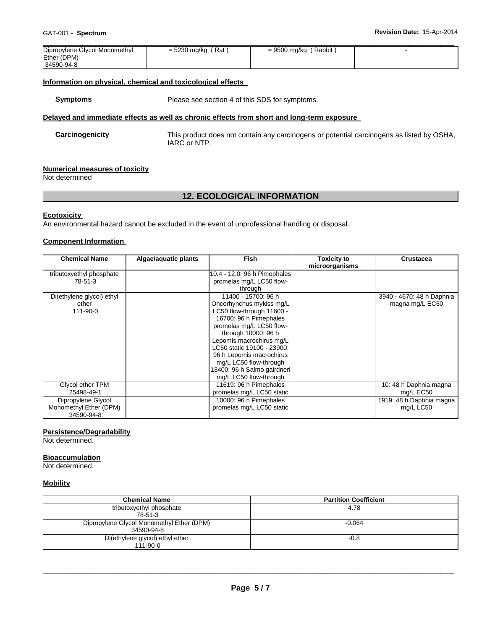| Dipropylene Glycol Monomethyl | = 5230 mg/kg (Rat) | = 9500 mg/kg (Rabbit) |  |
|-------------------------------|--------------------|-----------------------|--|
| Ether (DPM)                   |                    |                       |  |
| 34590-94-8                    |                    |                       |  |

## **Information on physical, chemical and toxicological effects**

**Symptoms** Please see section 4 of this SDS for symptoms.

## **Delayed and immediate effects as well as chronic effects from short and long-term exposure**

**Carcinogenicity** This product does not contain any carcinogens or potential carcinogens as listed by OSHA, IARC or NTP.

#### **Numerical measures of toxicity**

Not determined

## **12. ECOLOGICAL INFORMATION**

#### **Ecotoxicity**

An environmental hazard cannot be excluded in the event of unprofessional handling or disposal.

## **Component Information**

| <b>Chemical Name</b>      | Algae/aquatic plants | Fish                         | <b>Toxicity to</b><br>microorganisms | <b>Crustacea</b>          |
|---------------------------|----------------------|------------------------------|--------------------------------------|---------------------------|
|                           |                      |                              |                                      |                           |
| tributoxyethyl phosphate  |                      | 10.4 - 12.0: 96 h Pimephales |                                      |                           |
| 78-51-3                   |                      | promelas mg/L LC50 flow-     |                                      |                           |
|                           |                      | through                      |                                      |                           |
| Di(ethylene glycol) ethyl |                      | 11400 - 15700: 96 h          |                                      | 3940 - 4670: 48 h Daphnia |
| ether                     |                      | Oncorhynchus mykiss mg/L     |                                      | magna mg/L EC50           |
| 111-90-0                  |                      | LC50 flow-through 11600 -    |                                      |                           |
|                           |                      | 16700: 96 h Pimephales       |                                      |                           |
|                           |                      | promelas mg/L LC50 flow-     |                                      |                           |
|                           |                      | through 10000: 96 h          |                                      |                           |
|                           |                      | Lepomis macrochirus mg/L     |                                      |                           |
|                           |                      | LC50 static 19100 - 23900:   |                                      |                           |
|                           |                      | 96 h Lepomis macrochirus     |                                      |                           |
|                           |                      | mg/L LC50 flow-through       |                                      |                           |
|                           |                      | 13400: 96 h Salmo gairdneri  |                                      |                           |
|                           |                      | mg/L LC50 flow-through       |                                      |                           |
| Glycol ether TPM          |                      | 11619: 96 h Pimephales       |                                      | 10: 48 h Daphnia magna    |
| 25498-49-1                |                      | promelas mg/L LC50 static    |                                      | mg/L EC50                 |
| Dipropylene Glycol        |                      | 10000: 96 h Pimephales       |                                      | 1919: 48 h Daphnia magna  |
| Monomethyl Ether (DPM)    |                      | promelas mg/L LC50 static    |                                      | mg/L LC50                 |
| 34590-94-8                |                      |                              |                                      |                           |

#### **Persistence/Degradability**

Not determined.

#### **Bioaccumulation**

Not determined.

#### **Mobility**

| <b>Chemical Name</b>                      | <b>Partition Coefficient</b> |
|-------------------------------------------|------------------------------|
| tributoxyethyl phosphate                  | 4.78                         |
| 78-51-3                                   |                              |
| Dipropylene Glycol Monomethyl Ether (DPM) | $-0.064$                     |
| 34590-94-8                                |                              |
| Di(ethylene glycol) ethyl ether           | $-0.8$                       |
| $111 - 90 - 0$                            |                              |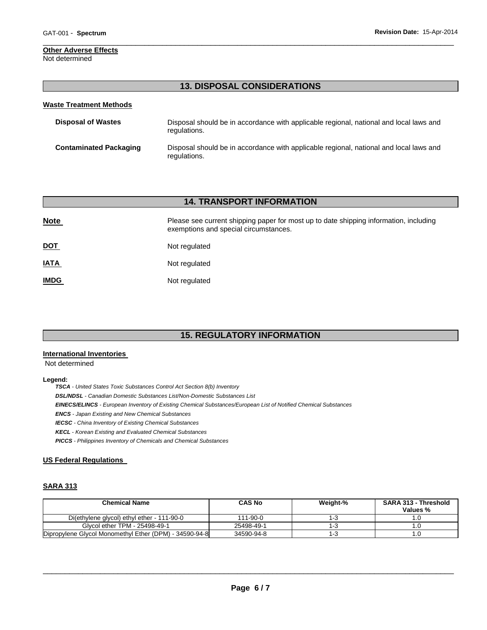# **Other Adverse Effects**

Not determined

# **13. DISPOSAL CONSIDERATIONS**

\_\_\_\_\_\_\_\_\_\_\_\_\_\_\_\_\_\_\_\_\_\_\_\_\_\_\_\_\_\_\_\_\_\_\_\_\_\_\_\_\_\_\_\_\_\_\_\_\_\_\_\_\_\_\_\_\_\_\_\_\_\_\_\_\_\_\_\_\_\_\_\_\_\_\_\_\_\_\_\_\_\_\_\_\_\_\_\_\_\_\_\_\_

| <b>Waste Treatment Methods</b> |                                                                                                        |
|--------------------------------|--------------------------------------------------------------------------------------------------------|
| <b>Disposal of Wastes</b>      | Disposal should be in accordance with applicable regional, national and local laws and<br>regulations. |
| <b>Contaminated Packaging</b>  | Disposal should be in accordance with applicable regional, national and local laws and<br>regulations. |

## **14. TRANSPORT INFORMATION**

| <b>Note</b> | Please see current shipping paper for most up to date shipping information, including<br>exemptions and special circumstances. |  |  |
|-------------|--------------------------------------------------------------------------------------------------------------------------------|--|--|
| <u>DOT</u>  | Not regulated                                                                                                                  |  |  |
| <b>IATA</b> | Not regulated                                                                                                                  |  |  |
| <b>IMDG</b> | Not regulated                                                                                                                  |  |  |

# **15. REGULATORY INFORMATION**

## **International Inventories**

Not determined

#### **Legend:**

*TSCA - United States Toxic Substances Control Act Section 8(b) Inventory DSL/NDSL - Canadian Domestic Substances List/Non-Domestic Substances List EINECS/ELINCS - European Inventory of Existing Chemical Substances/European List of Notified Chemical Substances ENCS - Japan Existing and New Chemical Substances IECSC - China Inventory of Existing Chemical Substances KECL - Korean Existing and Evaluated Chemical Substances PICCS - Philippines Inventory of Chemicals and Chemical Substances* 

## **US Federal Regulations**

## **SARA 313**

| <b>Chemical Name</b>                                   | <b>CAS No</b>  | Weight-% | <b>SARA 313 - Threshold</b><br>Values % |
|--------------------------------------------------------|----------------|----------|-----------------------------------------|
| Di(ethylene glycol) ethyl ether - 111-90-0             | $111 - 90 - 0$ | ن - ا    |                                         |
| Glycol ether TPM - 25498-49-1                          | 25498-49-1     | 1-3      |                                         |
| Dipropylene Glycol Monomethyl Ether (DPM) - 34590-94-8 | 34590-94-8     | 1-3      |                                         |